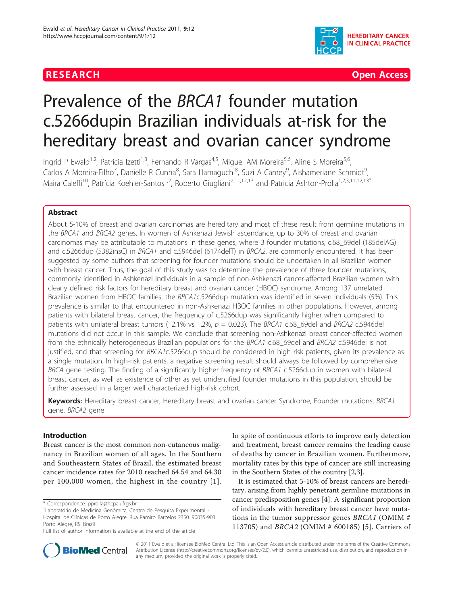

**RESEARCH Open Access** 

# Prevalence of the BRCA1 founder mutation c.5266dupin Brazilian individuals at-risk for the hereditary breast and ovarian cancer syndrome

Ingrid P Ewald<sup>1,2</sup>, Patrícia Izetti<sup>1,3</sup>, Fernando R Vargas<sup>4,5</sup>, Miguel AM Moreira<sup>5,6</sup>, Aline S Moreira<sup>5,6</sup>, Carlos A Moreira-Filho<sup>7</sup>, Danielle R Cunha<sup>8</sup>, Sara Hamaguchi<sup>8</sup>, Suzi A Camey<sup>9</sup>, Aishameriane Schmidt<sup>s</sup> , Maira Caleffi<sup>10</sup>, Patrícia Koehler-Santos<sup>1,2</sup>, Roberto Giugliani<sup>2,11,12,13</sup> and Patricia Ashton-Prolla<sup>1,2,3,11,12,13\*</sup>

# Abstract

About 5-10% of breast and ovarian carcinomas are hereditary and most of these result from germline mutations in the BRCA1 and BRCA2 genes. In women of Ashkenazi Jewish ascendance, up to 30% of breast and ovarian carcinomas may be attributable to mutations in these genes, where 3 founder mutations, c.68\_69del (185delAG) and c.5266dup (5382insC) in BRCA1 and c.5946del (6174delT) in BRCA2, are commonly encountered. It has been suggested by some authors that screening for founder mutations should be undertaken in all Brazilian women with breast cancer. Thus, the goal of this study was to determine the prevalence of three founder mutations, commonly identified in Ashkenazi individuals in a sample of non-Ashkenazi cancer-affected Brazilian women with clearly defined risk factors for hereditary breast and ovarian cancer (HBOC) syndrome. Among 137 unrelated Brazilian women from HBOC families, the BRCA1c.5266dup mutation was identified in seven individuals (5%). This prevalence is similar to that encountered in non-Ashkenazi HBOC families in other populations. However, among patients with bilateral breast cancer, the frequency of c.5266dup was significantly higher when compared to patients with unilateral breast tumors (12.1% vs 1.2%,  $p = 0.023$ ). The BRCA1 c.68 69del and BRCA2 c.5946del mutations did not occur in this sample. We conclude that screening non-Ashkenazi breast cancer-affected women from the ethnically heterogeneous Brazilian populations for the BRCA1 c.68 69del and BRCA2 c.5946del is not justified, and that screening for BRCA1c.5266dup should be considered in high risk patients, given its prevalence as a single mutation. In high-risk patients, a negative screening result should always be followed by comprehensive BRCA gene testing. The finding of a significantly higher frequency of BRCA1 c.5266dup in women with bilateral breast cancer, as well as existence of other as yet unidentified founder mutations in this population, should be further assessed in a larger well characterized high-risk cohort.

Keywords: Hereditary breast cancer, Hereditary breast and ovarian cancer Syndrome, Founder mutations, BRCA1 gene, BRCA2 gene

# Introduction

Breast cancer is the most common non-cutaneous malignancy in Brazilian women of all ages. In the Southern and Southeastern States of Brazil, the estimated breast cancer incidence rates for 2010 reached 64.54 and 64.30 per 100,000 women, the highest in the country [[1\]](#page-6-0).

\* Correspondence: [pprolla@hcpa.ufrgs.br](mailto:pprolla@hcpa.ufrgs.br)

In spite of continuous efforts to improve early detection and treatment, breast cancer remains the leading cause of deaths by cancer in Brazilian women. Furthermore, mortality rates by this type of cancer are still increasing in the Southern States of the country [[2,3\]](#page-6-0).

It is estimated that 5-10% of breast cancers are hereditary, arising from highly penetrant germline mutations in cancer predisposition genes [\[4](#page-6-0)]. A significant proportion of individuals with hereditary breast cancer have mutations in the tumor suppressor genes  $BRCA1$  (OMIM  $#$ 113705) and BRCA2 (OMIM # 600185) [[5](#page-6-0)]. Carriers of



© 2011 Ewald et al; licensee BioMed Central Ltd. This is an Open Access article distributed under the terms of the Creative Commons Attribution License [\(http://creativecommons.org/licenses/by/2.0](http://creativecommons.org/licenses/by/2.0)), which permits unrestricted use, distribution, and reproduction in any medium, provided the original work is properly cited.

<sup>1</sup> Laboratório de Medicina Genômica, Centro de Pesquisa Experimental - Hospital de Clínicas de Porto Alegre. Rua Ramiro Barcelos 2350. 90035-903. Porto Alegre, RS. Brazil

Full list of author information is available at the end of the article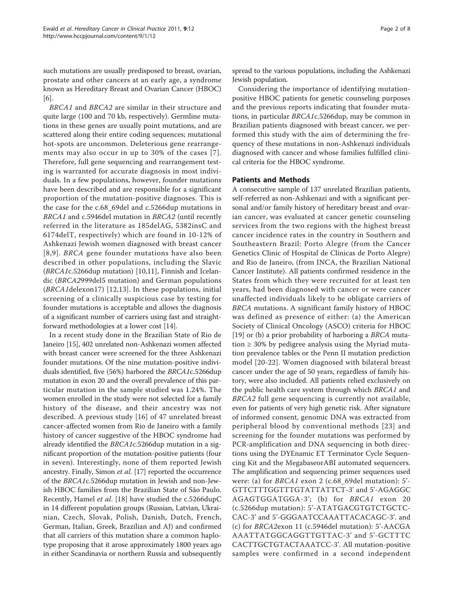such mutations are usually predisposed to breast, ovarian, prostate and other cancers at an early age, a syndrome known as Hereditary Breast and Ovarian Cancer (HBOC) [[6\]](#page-6-0).

BRCA1 and BRCA2 are similar in their structure and quite large (100 and 70 kb, respectively). Germline mutations in these genes are usually point mutations, and are scattered along their entire coding sequences; mutational hot-spots are uncommon. Deleterious gene rearrangements may also occur in up to 30% of the cases [[7\]](#page-6-0). Therefore, full gene sequencing and rearrangement testing is warranted for accurate diagnosis in most individuals. In a few populations, however, founder mutations have been described and are responsible for a significant proportion of the mutation-positive diagnoses. This is the case for the c.68\_69del and c.5266dup mutations in BRCA1 and c.5946del mutation in BRCA2 (until recently referred in the literature as 185delAG, 5382insC and 6174delT, respectively) which are found in 10-12% of Ashkenazi Jewish women diagnosed with breast cancer [[8,9\]](#page-6-0). BRCA gene founder mutations have also been described in other populations, including the Slavic (BRCA1c.5266dup mutation) [\[10,11](#page-6-0)], Finnish and Icelandic (BRCA2999del5 mutation) and German populations (BRCA1delexon17) [\[12,13](#page-6-0)]. In these populations, initial screening of a clinically suspicious case by testing for founder mutations is acceptable and allows the diagnosis of a significant number of carriers using fast and straightforward methodologies at a lower cost [[14\]](#page-6-0).

In a recent study done in the Brazilian State of Rio de Janeiro [\[15\]](#page-6-0), 402 unrelated non-Ashkenazi women affected with breast cancer were screened for the three Ashkenazi founder mutations. Of the nine mutation-positive individuals identified, five (56%) harbored the BRCA1c.5266dup mutation in exon 20 and the overall prevalence of this particular mutation in the sample studied was 1.24%. The women enrolled in the study were not selected for a family history of the disease, and their ancestry was not described. A previous study [[16\]](#page-6-0) of 47 unrelated breast cancer-affected women from Rio de Janeiro with a family history of cancer suggestive of the HBOC syndrome had already identified the BRCA1c.5266dup mutation in a significant proportion of the mutation-positive patients (four in seven). Interestingly, none of them reported Jewish ancestry. Finally, Simon et al. [\[17\]](#page-6-0) reported the occurrence of the BRCA1c.5266dup mutation in Jewish and non-Jewish HBOC families from the Brazilian State of São Paulo. Recently, Hamel et al. [\[18](#page-6-0)] have studied the c.5266dupC in 14 different population groups (Russian, Latvian, Ukrainian, Czech, Slovak, Polish, Danish, Dutch, French, German, Italian, Greek, Brazilian and AJ) and confirmed that all carriers of this mutation share a common haplotype proposing that it arose approximately 1800 years ago in either Scandinavia or northern Russia and subsequently spread to the various populations, including the Ashkenazi Jewish population.

Considering the importance of identifying mutationpositive HBOC patients for genetic counseling purposes and the previous reports indicating that founder mutations, in particular BRCA1c.5266dup, may be common in Brazilian patients diagnosed with breast cancer, we performed this study with the aim of determining the frequency of these mutations in non-Ashkenazi individuals diagnosed with cancer and whose families fulfilled clinical criteria for the HBOC syndrome.

# Patients and Methods

A consecutive sample of 137 unrelated Brazilian patients, self-referred as non-Ashkenazi and with a significant personal and/or family history of hereditary breast and ovarian cancer, was evaluated at cancer genetic counseling services from the two regions with the highest breast cancer incidence rates in the country in Southern and Southeastern Brazil: Porto Alegre (from the Cancer Genetics Clinic of Hospital de Clínicas de Porto Alegre) and Rio de Janeiro, (from INCA, the Brazilian National Cancer Institute). All patients confirmed residence in the States from which they were recruited for at least ten years, had been diagnosed with cancer or were cancer unaffected individuals likely to be obligate carriers of BRCA mutations. A significant family history of HBOC was defined as presence of either: (a) the American Society of Clinical Oncology (ASCO) criteria for HBOC [[19\]](#page-6-0) or (b) a prior probability of harboring a BRCA mutation  $\geq$  30% by pedigree analysis using the Myriad mutation prevalence tables or the Penn II mutation prediction model [[20-22\]](#page-6-0). Women diagnosed with bilateral breast cancer under the age of 50 years, regardless of family history, were also included. All patients relied exclusively on the public health care system through which BRCA1 and BRCA2 full gene sequencing is currently not available, even for patients of very high genetic risk. After signature of informed consent, genomic DNA was extracted from peripheral blood by conventional methods [[23](#page-6-0)] and screening for the founder mutations was performed by PCR-amplification and DNA sequencing in both directions using the DYEnamic ET Terminator Cycle Sequencing Kit and the MegabaseorABI automated sequencers. The amplification and sequencing primer sequences used were: (a) for BRCA1 exon 2 (c.68\_69del mutation): 5'- GTTCTTTGGTTTGTATTATTCT-3' and 5'-AGAGGC AGAGTGGATGGA-3'; (b) for BRCA1 exon 20 (c.5266dup mutation): 5'-ATATGACGTGTCTGCTC-CAC-3' and 5'-GGGAATCCAAATTACACAGC-3'. and (c) for BRCA2exon 11 (c.5946del mutation): 5'-AACGA AAATTATGGCAGGTTGTTAC-3' and 5'-GCTTTC CACTTGCTGTACTAAATCC-3'. All mutation-positive samples were confirmed in a second independent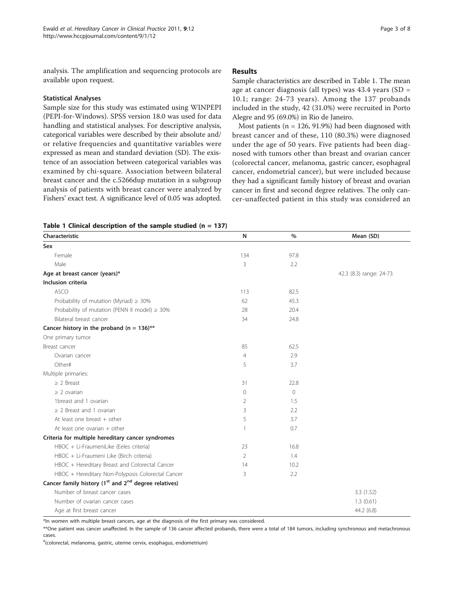analysis. The amplification and sequencing protocols are available upon request.

## Statistical Analyses

Sample size for this study was estimated using WINPEPI (PEPI-for-Windows). SPSS version 18.0 was used for data handling and statistical analyses. For descriptive analysis, categorical variables were described by their absolute and/ or relative frequencies and quantitative variables were expressed as mean and standard deviation (SD). The existence of an association between categorical variables was examined by chi-square. Association between bilateral breast cancer and the c.5266dup mutation in a subgroup analysis of patients with breast cancer were analyzed by Fishers' exact test. A significance level of 0.05 was adopted.

# Results

Sample characteristics are described in Table 1. The mean age at cancer diagnosis (all types) was 43.4 years (SD = 10.1; range: 24-73 years). Among the 137 probands included in the study, 42 (31.0%) were recruited in Porto Alegre and 95 (69.0%) in Rio de Janeiro.

Most patients ( $n = 126, 91.9%$ ) had been diagnosed with breast cancer and of these, 110 (80.3%) were diagnosed under the age of 50 years. Five patients had been diagnosed with tumors other than breast and ovarian cancer (colorectal cancer, melanoma, gastric cancer, esophageal cancer, endometrial cancer), but were included because they had a significant family history of breast and ovarian cancer in first and second degree relatives. The only cancer-unaffected patient in this study was considered an

|  |  |  | Table 1 Clinical description of the sample studied $(n = 137)$ |  |  |  |  |  |
|--|--|--|----------------------------------------------------------------|--|--|--|--|--|
|--|--|--|----------------------------------------------------------------|--|--|--|--|--|

| Characteristic                                                               | $\mathsf{N}$   | $\frac{0}{0}$ | Mean (SD)               |
|------------------------------------------------------------------------------|----------------|---------------|-------------------------|
| Sex                                                                          |                |               |                         |
| Female                                                                       | 134            | 97.8          |                         |
| Male                                                                         | 3              | 2.2           |                         |
| Age at breast cancer (years)*                                                |                |               | 42.3 (8.3) range: 24-73 |
| Inclusion criteria                                                           |                |               |                         |
| <b>ASCO</b>                                                                  | 113            | 82.5          |                         |
| Probability of mutation (Myriad) $\geq 30\%$                                 | 62             | 45.3          |                         |
| Probability of mutation (PENN II model) $\geq 30\%$                          | 28             | 20.4          |                         |
| Bilateral breast cancer                                                      | 34             | 24.8          |                         |
| Cancer history in the proband (n = $136$ )**                                 |                |               |                         |
| One primary tumor                                                            |                |               |                         |
| Breast cancer                                                                | 85             | 62.5          |                         |
| Ovarian cancer                                                               | $\overline{4}$ | 2.9           |                         |
| Other#                                                                       | 5              | 3.7           |                         |
| Multiple primaries:                                                          |                |               |                         |
| $\geq$ 2 Breast                                                              | 31             | 22.8          |                         |
| $\geq$ 2 ovarian                                                             | 0              | $\circ$       |                         |
| 1breast and 1 ovarian                                                        | 2              | 1.5           |                         |
| $\geq$ 2 Breast and 1 ovarian                                                | 3              | 2.2           |                         |
| At least one breast + other                                                  | 5              | 3.7           |                         |
| At least one ovarian $+$ other                                               | 1              | 0.7           |                         |
| Criteria for multiple hereditary cancer syndromes                            |                |               |                         |
| HBOC + Li-FraumeniLike (Eeles criteria)                                      | 23             | 16.8          |                         |
| HBOC + Li-Fraumeni Like (Birch criteria)                                     | 2              | 1.4           |                         |
| HBOC + Hereditary Breast and Colorectal Cancer                               | 14             | 10.2          |                         |
| HBOC + Hereditary Non-Polyposis Colorectal Cancer                            | 3              | 2.2           |                         |
| Cancer family history (1 <sup>st</sup> and 2 <sup>nd</sup> degree relatives) |                |               |                         |
| Number of breast cancer cases                                                |                |               | 3.3(1.52)               |
| Number of ovarian cancer cases                                               |                |               | 1.3(0.61)               |
| Age at first breast cancer                                                   |                |               | 44.2 (6.8)              |

\*In women with multiple breast cancers, age at the diagnosis of the first primary was considered.

\*\*One patient was cancer unaffected. In the sample of 136 cancer affected probands, there were a total of 184 tumors, including synchronous and metachronous cases.

# (colorectal, melanoma, gastric, uterine cervix, esophagus, endometrium)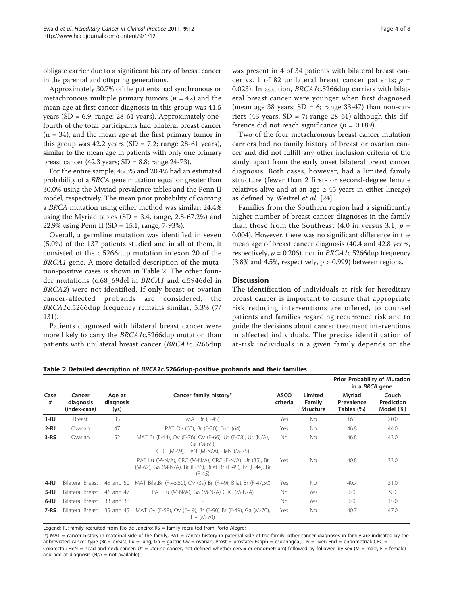obligate carrier due to a significant history of breast cancer in the parental and offspring generations.

Approximately 30.7% of the patients had synchronous or metachronous multiple primary tumors ( $n = 42$ ) and the mean age at first cancer diagnosis in this group was 41.5 years ( $SD = 6.9$ ; range: 28-61 years). Approximately onefourth of the total participants had bilateral breast cancer  $(n = 34)$ , and the mean age at the first primary tumor in this group was 42.2 years (SD = 7.2; range 28-61 years), similar to the mean age in patients with only one primary breast cancer (42.3 years;  $SD = 8.8$ ; range 24-73).

For the entire sample, 45.3% and 20.4% had an estimated probability of a BRCA gene mutation equal or greater than 30.0% using the Myriad prevalence tables and the Penn II model, respectively. The mean prior probability of carrying a BRCA mutation using either method was similar: 24.4% using the Myriad tables (SD = 3.4, range,  $2.8-67.2%$ ) and 22.9% using Penn II (SD = 15.1, range, 7-93%).

Overall, a germline mutation was identified in seven (5.0%) of the 137 patients studied and in all of them, it consisted of the c.5266dup mutation in exon 20 of the BRCA1 gene. A more detailed description of the mutation-positive cases is shown in Table 2. The other founder mutations (c.68\_69del in BRCA1 and c.5946del in BRCA2) were not identified. If only breast or ovarian cancer-affected probands are considered, the BRCA1c.5266dup frequency remains similar, 5.3% (7/ 131).

Patients diagnosed with bilateral breast cancer were more likely to carry the BRCA1c.5266dup mutation than patients with unilateral breast cancer (BRCA1c.5266dup was present in 4 of 34 patients with bilateral breast cancer vs. 1 of 82 unilateral breast cancer patients;  $p =$ 0.023). In addition, BRCA1c.5266dup carriers with bilateral breast cancer were younger when first diagnosed (mean age 38 years;  $SD = 6$ ; range 33-47) than non-carriers (43 years;  $SD = 7$ ; range 28-61) although this difference did not reach significance ( $p = 0.189$ ).

Two of the four metachronous breast cancer mutation carriers had no family history of breast or ovarian cancer and did not fulfill any other inclusion criteria of the study, apart from the early onset bilateral breast cancer diagnosis. Both cases, however, had a limited family structure (fewer than 2 first- or second-degree female relatives alive and at an age  $\geq$  45 years in either lineage) as defined by Weitzel et al. [\[24](#page-6-0)].

Families from the Southern region had a significantly higher number of breast cancer diagnoses in the family than those from the Southeast (4.0 in versus 3.1,  $p =$ 0.004). However, there was no significant difference in the mean age of breast cancer diagnosis (40.4 and 42.8 years, respectively,  $p = 0.206$ ), nor in BRCA1c.5266dup frequency  $(3.8\%$  and 4.5%, respectively,  $p > 0.999$ ) between regions.

# **Discussion**

The identification of individuals at-risk for hereditary breast cancer is important to ensure that appropriate risk reducing interventions are offered, to counsel patients and families regarding recurrence risk and to guide the decisions about cancer treatment interventions in affected individuals. The precise identification of at-risk individuals in a given family depends on the

|  |  |  |  | Table 2 Detailed description of BRCA1c.5266dup-positive probands and their families |  |  |  |  |
|--|--|--|--|-------------------------------------------------------------------------------------|--|--|--|--|
|--|--|--|--|-------------------------------------------------------------------------------------|--|--|--|--|

|           |                                     |                             |                                                                                                                                    |                         |                                       | <b>Prior Probability of Mutation</b><br>in a BRCA gene |                                  |
|-----------|-------------------------------------|-----------------------------|------------------------------------------------------------------------------------------------------------------------------------|-------------------------|---------------------------------------|--------------------------------------------------------|----------------------------------|
| Case<br># | Cancer<br>diagnosis<br>(index-case) | Age at<br>diagnosis<br>(ys) | Cancer family history*                                                                                                             | <b>ASCO</b><br>criteria | Limited<br>Family<br><b>Structure</b> | Myriad<br>Prevalence<br>Tables (%)                     | Couch<br>Prediction<br>Model (%) |
| $1 - RJ$  | Breast                              | 33                          | MAT Br (F-45)                                                                                                                      | Yes                     | <b>No</b>                             | 16.3                                                   | 20.0                             |
| $2-RJ$    | Ovarian                             | 47                          | PAT Ov (60), Br (F-30), End (64)                                                                                                   | Yes                     | <b>No</b>                             | 46.8                                                   | 44.0                             |
| $3-RS$    | Ovarian                             | 52                          | MAT Br (F-44), Ov (F-76), Ov (F-66), Ut (F-78), Ut (N/A),<br>Ga (M-68).<br>CRC (M-69), HeN (M-N/A), HeN (M-75)                     | No.                     | <b>No</b>                             | 46.8                                                   | 43.0                             |
|           |                                     |                             | PAT Lu (M-N/A), CRC (M-N/A), CRC (F-N/A), Ut (35), Br<br>(M-62), Ga (M-N/A), Br (F-36), Bilat Br (F-45), Br (F-44), Br<br>$(F-45)$ | Yes                     | No.                                   | 40.8                                                   | 33.0                             |
| 4-RJ      | Bilateral Breast                    | 45 and 50                   | MAT BilatBr (F-45,50), Ov (39) Br (F-49), Bilat Br (F-47,50)                                                                       | Yes                     | <b>No</b>                             | 40.7                                                   | 31.0                             |
| $5 - RJ$  | Bilateral Breast                    | 46 and 47                   | PAT Lu (M-N/A), Ga (M-N/A) CRC (M-N/A)                                                                                             | No.                     | Yes                                   | 6.9                                                    | 9.0                              |
| $6 - RJ$  | Bilateral Breast                    | 33 and 38                   |                                                                                                                                    | No.                     | Yes                                   | 6.9                                                    | 15.0                             |
| $7-RS$    | Bilateral Breast 35 and 45          |                             | MAT Ov (F-58), Ov (F-49), Br (F-90) Br (F-49), Ga (M-70),<br>Liv (M-70)                                                            | Yes                     | <b>No</b>                             | 40.7                                                   | 47.0                             |

Legend: RJ: family recruited from Rio de Janeiro; RS = family recruited from Porto Alegre;

(\*) MAT = cancer history in maternal side of the family, PAT = cancer history in paternal side of the family; other cancer diagnoses in family are indicated by the abbreviated cancer type (Br = breast, Lu = lung; Ga = gastric Ov = ovarian; Prost = prostate; Esoph = esophageal; Liv = liver; End = endometrial; CRC = Colorectal; HeN = head and neck cancer; Ut = uterine cancer, not defined whether cervix or endometrium) followed by followed by sex (M = male, F = female) and age at diagnosis ( $N/A$  = not available).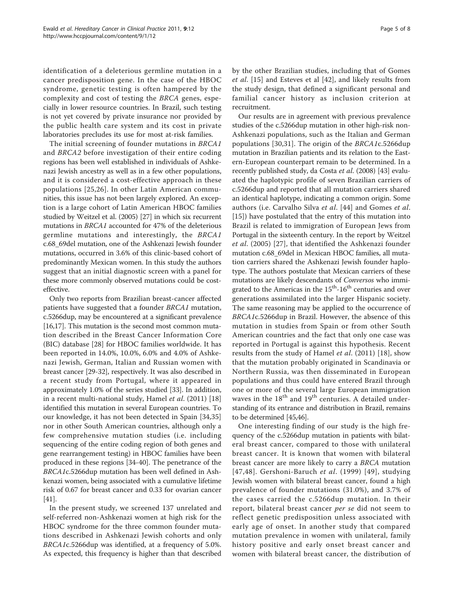identification of a deleterious germline mutation in a cancer predisposition gene. In the case of the HBOC syndrome, genetic testing is often hampered by the complexity and cost of testing the BRCA genes, especially in lower resource countries. In Brazil, such testing is not yet covered by private insurance nor provided by the public health care system and its cost in private laboratories precludes its use for most at-risk families.

The initial screening of founder mutations in BRCA1 and BRCA2 before investigation of their entire coding regions has been well established in individuals of Ashkenazi Jewish ancestry as well as in a few other populations, and it is considered a cost-effective approach in these populations [[25](#page-6-0),[26\]](#page-6-0). In other Latin American communities, this issue has not been largely explored. An exception is a large cohort of Latin American HBOC families studied by Weitzel et al. (2005) [[27](#page-6-0)] in which six recurrent mutations in BRCA1 accounted for 47% of the deleterious germline mutations and interestingly, the BRCA1 c.68\_69del mutation, one of the Ashkenazi Jewish founder mutations, occurred in 3.6% of this clinic-based cohort of predominantly Mexican women. In this study the authors suggest that an initial diagnostic screen with a panel for these more commonly observed mutations could be costeffective.

Only two reports from Brazilian breast-cancer affected patients have suggested that a founder BRCA1 mutation, c.5266dup, may be encountered at a significant prevalence [[16](#page-6-0),[17](#page-6-0)]. This mutation is the second most common mutation described in the Breast Cancer Information Core (BIC) database [\[28](#page-6-0)] for HBOC families worldwide. It has been reported in 14.0%, 10.0%, 6.0% and 4.0% of Ashkenazi Jewish, German, Italian and Russian women with breast cancer [\[29](#page-6-0)-[32](#page-6-0)], respectively. It was also described in a recent study from Portugal, where it appeared in approximately 1.0% of the series studied [[33](#page-6-0)]. In addition, in a recent multi-national study, Hamel et al. (2011) [[18](#page-6-0)] identified this mutation in several European countries. To our knowledge, it has not been detected in Spain [\[34,35](#page-6-0)] nor in other South American countries, although only a few comprehensive mutation studies (i.e. including sequencing of the entire coding region of both genes and gene rearrangement testing) in HBOC families have been produced in these regions [[34](#page-6-0)-[40\]](#page-7-0). The penetrance of the BRCA1c.5266dup mutation has been well defined in Ashkenazi women, being associated with a cumulative lifetime risk of 0.67 for breast cancer and 0.33 for ovarian cancer [[41](#page-7-0)].

In the present study, we screened 137 unrelated and self-referred non-Ashkenazi women at high risk for the HBOC syndrome for the three common founder mutations described in Ashkenazi Jewish cohorts and only BRCA1c.5266dup was identified, at a frequency of 5.0%. As expected, this frequency is higher than that described by the other Brazilian studies, including that of Gomes et al. [\[15](#page-6-0)] and Esteves et al [[42\]](#page-7-0), and likely results from the study design, that defined a significant personal and familial cancer history as inclusion criterion at recruitment.

Our results are in agreement with previous prevalence studies of the c.5266dup mutation in other high-risk non-Ashkenazi populations, such as the Italian and German populations [[30,31](#page-6-0)]. The origin of the BRCA1c.5266dup mutation in Brazilian patients and its relation to the Eastern-European counterpart remain to be determined. In a recently published study, da Costa et al. (2008) [[43](#page-7-0)] evaluated the haplotypic profile of seven Brazilian carriers of c.5266dup and reported that all mutation carriers shared an identical haplotype, indicating a common origin. Some authors (i.e. Carvalho Silva et al. [[44\]](#page-7-0) and Gomes et al. [[15\]](#page-6-0)) have postulated that the entry of this mutation into Brazil is related to immigration of European Jews from Portugal in the sixteenth century. In the report by Weitzel et al. (2005) [[27](#page-6-0)], that identified the Ashkenazi founder mutation c.68\_69del in Mexican HBOC families, all mutation carriers shared the Ashkenazi Jewish founder haplotype. The authors postulate that Mexican carriers of these mutations are likely descendants of Conversos who immigrated to the Americas in the 15<sup>th</sup>-16<sup>th</sup> centuries and over generations assimilated into the larger Hispanic society. The same reasoning may be applied to the occurrence of BRCA1c.5266dup in Brazil. However, the absence of this mutation in studies from Spain or from other South American countries and the fact that only one case was reported in Portugal is against this hypothesis. Recent results from the study of Hamel et al. (2011) [[18\]](#page-6-0), show that the mutation probably originated in Scandinavia or Northern Russia, was then disseminated in European populations and thus could have entered Brazil through one or more of the several large European immigration waves in the 18<sup>th</sup> and 19<sup>th</sup> centuries. A detailed understanding of its entrance and distribution in Brazil, remains to be determined [[45,46\]](#page-7-0).

One interesting finding of our study is the high frequency of the c.5266dup mutation in patients with bilateral breast cancer, compared to those with unilateral breast cancer. It is known that women with bilateral breast cancer are more likely to carry a BRCA mutation [[47,48\]](#page-7-0). Gershoni-Baruch et al. (1999) [[49](#page-7-0)], studying Jewish women with bilateral breast cancer, found a high prevalence of founder mutations (31.0%), and 3.7% of the cases carried the c.5266dup mutation. In their report, bilateral breast cancer per se did not seem to reflect genetic predisposition unless associated with early age of onset. In another study that compared mutation prevalence in women with unilateral, family history positive and early onset breast cancer and women with bilateral breast cancer, the distribution of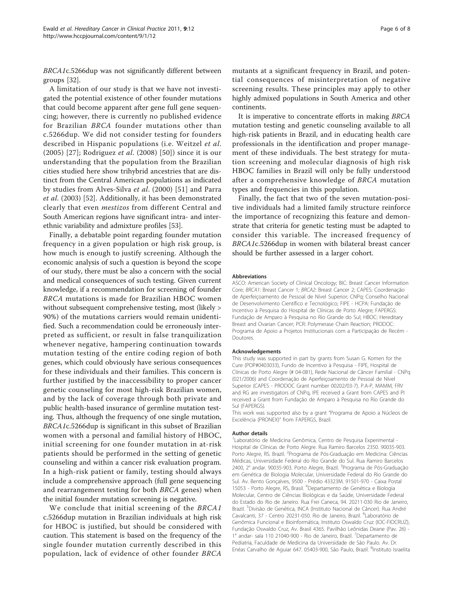BRCA1c.5266dup was not significantly different between groups [[32\]](#page-6-0).

A limitation of our study is that we have not investigated the potential existence of other founder mutations that could become apparent after gene full gene sequencing; however, there is currently no published evidence for Brazilian BRCA founder mutations other than c.5266dup. We did not consider testing for founders described in Hispanic populations (i.e. Weitzel et al. (2005) [[27](#page-6-0)]; Rodriguez et al. (2008) [[50](#page-7-0)]) since it is our understanding that the population from the Brazilian cities studied here show trihybrid ancestries that are distinct from the Central American populations as indicated by studies from Alves-Silva et al. (2000) [[51](#page-7-0)] and Parra et al. (2003) [\[52](#page-7-0)]. Additionally, it has been demonstrated clearly that even mestizos from different Central and South American regions have significant intra- and interethnic variability and admixture profiles [[53](#page-7-0)].

Finally, a debatable point regarding founder mutation frequency in a given population or high risk group, is how much is enough to justify screening. Although the economic analysis of such a question is beyond the scope of our study, there must be also a concern with the social and medical consequences of such testing. Given current knowledge, if a recommendation for screening of founder BRCA mutations is made for Brazilian HBOC women without subsequent comprehensive testing, most (likely > 90%) of the mutations carriers would remain unidentified. Such a recommendation could be erroneously interpreted as sufficient, or result in false tranquilization whenever negative, hampering continuation towards mutation testing of the entire coding region of both genes, which could obviously have serious consequences for these individuals and their families. This concern is further justified by the inaccessibility to proper cancer genetic counseling for most high-risk Brazilian women, and by the lack of coverage through both private and public health-based insurance of germline mutation testing. Thus, although the frequency of one single mutation, BRCA1c.5266dup is significant in this subset of Brazilian women with a personal and familial history of HBOC, initial screening for one founder mutation in at-risk patients should be performed in the setting of genetic counseling and within a cancer risk evaluation program. In a high-risk patient or family, testing should always include a comprehensive approach (full gene sequencing and rearrangement testing for both BRCA genes) when the initial founder mutation screening is negative.

We conclude that initial screening of the BRCA1 c.5266dup mutation in Brazilian individuals at high risk for HBOC is justified, but should be considered with caution. This statement is based on the frequency of the single founder mutation currently described in this population, lack of evidence of other founder BRCA mutants at a significant frequency in Brazil, and potential consequences of misinterpretation of negative screening results. These principles may apply to other highly admixed populations in South America and other continents.

It is imperative to concentrate efforts in making BRCA mutation testing and genetic counseling available to all high-risk patients in Brazil, and in educating health care professionals in the identification and proper management of these individuals. The best strategy for mutation screening and molecular diagnosis of high risk HBOC families in Brazil will only be fully understood after a comprehensive knowledge of BRCA mutation types and frequencies in this population.

Finally, the fact that two of the seven mutation-positive individuals had a limited family structure reinforce the importance of recognizing this feature and demonstrate that criteria for genetic testing must be adapted to consider this variable. The increased frequency of BRCA1c.5266dup in women with bilateral breast cancer should be further assessed in a larger cohort.

#### Abbreviations

ASCO: American Society of Clinical Oncology; BIC: Breast Cancer Information Core; BRCA1: Breast Cancer 1; BRCA2: Breast Cancer 2; CAPES: Coordenação de Aperfeiçoamento de Pessoal de Nível Superior; CNPq: Conselho Nacional de Desenvolvimento Científico e Tecnológico; FIPE - HCPA: Fundação de Incentivo à Pesquisa do Hospital de Clínicas de Porto Alegre; FAPERGS: Fundação de Amparo à Pesquisa no Rio Grande do Sul; HBOC: Hereditary Breast and Ovarian Cancer; PCR: Polymerase Chain Reaction; PRODOC: Programa de Apoio a Projetos Institucionais com a Participação de Recém - Doutores.

#### Acknowledgements

This study was supported in part by grants from Susan G. Komen for the Cure (POP#0403033), Fundo de Incentivo à Pesquisa - FIPE, Hospital de Clínicas de Porto Alegre (# 04-081), Rede Nacional de Câncer Familial - CNPq (021/2006) and Coordenação de Aperfeiçoamento de Pessoal de Nível Superior (CAPES - PRODOC Grant number 00202/03-7). P.A-P, MAMM, FRV and RG are investigators of CNPq, IPE received a Grant from CAPES and PI received a Grant from Fundação de Amparo à Pesquisa no Rio Grande do Sul (FAPERGS).

This work was supported also by a grant "Programa de Apoio a Núcleos de Excelência (PRONEX)" from FAPERGS, Brazil.

#### Author details

<sup>1</sup> Laboratório de Medicina Genômica, Centro de Pesquisa Experimental -Hospital de Clínicas de Porto Alegre. Rua Ramiro Barcelos 2350. 90035-903. Porto Alegre, RS. Brazil. <sup>2</sup>Programa de Pós-Graduação em Medicina: Ciências Médicas, Universidade Federal do Rio Grande do Sul. Rua Ramiro Barcelos 2400, 2º andar. 90035-903. Porto Alegre, Brazil. <sup>3</sup>Programa de Pós-Graduação em Genética de Biologia Molecular, Universidade Federal do Rio Grande do Sul. Av. Bento Gonçalves, 9500 - Prédio 43323M. 91501-970 - Caixa Postal 15053 - Porto Alegre, RS, Brasil. <sup>4</sup> Departamento de Genética e Biologia Molecular, Centro de Ciências Biológicas e da Saúde, Universidade Federal do Estado do Rio de Janeiro. Rua Frei Caneca, 94. 20211-030 Rio de Janeiro, Brazil. <sup>5</sup>Divisão de Genética, INCA (Instituto Nacional de Câncer). Rua André Cavalcanti, 37 - Centro 20231-050. Rio de Janeiro, Brazil. <sup>6</sup>Laboratório de Genômica Funcional e Bioinformática, Instituto Oswaldo Cruz (IOC-FIOCRUZ), Fundação Oswaldo Cruz, Av. Brasil 4365. Pavilhão Leônidas Deane (Pav. 26) - 1º andar- sala 110 21040-900 - Rio de Janeiro, Brazil. <sup>7</sup>Departamento de Pediatria, Faculdade de Medicina da Universidade de São Paulo. Av. Dr. Enéas Carvalho de Aguiar 647. 05403-900, São Paulo, Brazil. <sup>8</sup>Instituto Israelita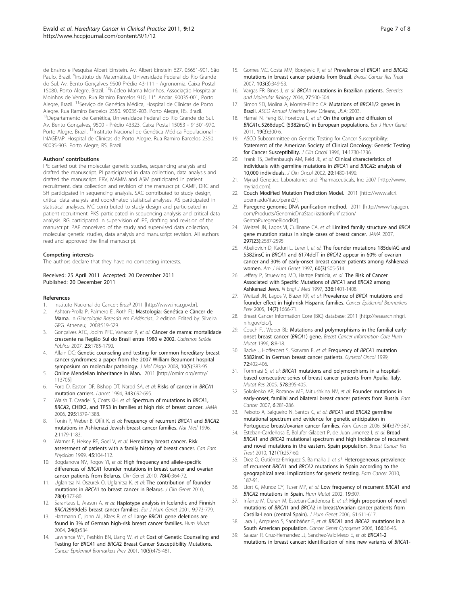<span id="page-6-0"></span>de Ensino e Pesquisa Albert Einstein. Av. Albert Einstein 627, 05651-901. São Paulo, Brazil. <sup>9</sup>Instituto de Matemática, Universidade Federal do Rio Grande do Sul. Av. Bento Gonçalves 9500 Prédio 43-111 - Agronomia. Caixa Postal 15080, Porto Alegre, Brazil. <sup>10</sup>Núcleo Mama Moinhos. Associação Hospitalar Moinhos de Vento. Rua Ramiro Barcelos 910, 11°. Andar. 90035-001, Porto Alegre, Brazil. 11Serviço de Genética Médica, Hospital de Clínicas de Porto Alegre. Rua Ramiro Barcelos 2350. 90035-903. Porto Alegre, RS. Brazil. <sup>12</sup>Departamento de Genética, Universidade Federal do Rio Grande do Sul. Av. Bento Gonçalves, 9500 - Prédio 43323. Caixa Postal 15053 - 91501-970. Porto Alegre, Brazil. <sup>13</sup>Instituto Nacional de Genética Médica Populacional -INAGEMP. Hospital de Clínicas de Porto Alegre. Rua Ramiro Barcelos 2350. 90035-903. Porto Alegre, RS. Brazil.

#### Authors' contributions

IPE carried out the molecular genetic studies, sequencing analysis and drafted the manuscript. PI participated in data collection, data analysis and drafted the manuscript. FRV, MAMM and ASM participated in patient recruitment, data collection and revision of the manuscript. CAMF, DRC and SH participated in sequencing analysis. SAC contributed to study design, critical data analysis and coordinated statistical analyses. AS participated in statistical analyses. MC contributed to study design and participated in patient recruitment. PKS participated in sequencing analysis and critical data analysis. RG participated in supervision of IPE, drafting and revision of the manuscript. PAP conceived of the study and supervised data collection, molecular genetic studies, data analysis and manuscript revision. All authors read and approved the final manuscript.

#### Competing interests

The authors declare that they have no competing interests.

### Received: 25 April 2011 Accepted: 20 December 2011 Published: 20 December 2011

#### References

- 1. Instituto Nacional do Cancer: Brazil 2011 [[http://www.inca.gov.br\]](http://www.inca.gov.br).
- 2. Ashton-Prolla P, Palmero EI, Roth FL: Mastologia: Genética e Câncer de Mama. In Ginecologia Baseada em Evidências.. 2 edition. Edited by: Silveira GPG. Atheneu; 2008:519-529.
- 3. Gonçalves ATC, Jobim PFC, Vanacor R, et al: Câncer de mama: mortalidade crescente na Região Sul do Brasil entre 1980 e 2002. Cadernos Saúde Pública 2007, 23:1785-1790.
- Allain DC: [Genetic counseling and testing for common hereditary breast](http://www.ncbi.nlm.nih.gov/pubmed/18687797?dopt=Abstract) [cancer syndromes: a paper from the 2007 William Beaumont hospital](http://www.ncbi.nlm.nih.gov/pubmed/18687797?dopt=Abstract) [symposium on molecular pathology.](http://www.ncbi.nlm.nih.gov/pubmed/18687797?dopt=Abstract) J Mol Diagn 2008, 10(5):383-95.
- 5. Online Mendelian Inheritance in Man. 2011 [[http://omim.org/entry/](http://omim.org/entry/113705) [113705](http://omim.org/entry/113705)].
- 6. Ford D, Easton DF, Bishop DT, Narod SA, et al: [Risks of cancer in](http://www.ncbi.nlm.nih.gov/pubmed/7907678?dopt=Abstract) BRCA1 [mutation carriers.](http://www.ncbi.nlm.nih.gov/pubmed/7907678?dopt=Abstract) Lancet 1994, 343:692-695.
- 7. Walsh T, Casadei S, Coats KH, et al: [Spectrum of mutations in](http://www.ncbi.nlm.nih.gov/pubmed/16551709?dopt=Abstract) BRCA1, BRCA[2, CHEK2, and TP53 in families at high risk of breast cancer.](http://www.ncbi.nlm.nih.gov/pubmed/16551709?dopt=Abstract) JAMA 2006, 295:1379-1388.
- 8. Tonin P, Weber B, Offit K, et al: [Frequency of recurrent](http://www.ncbi.nlm.nih.gov/pubmed/8898735?dopt=Abstract) BRCA1 and BRCA2 [mutations in Ashkenazi Jewish breast cancer families.](http://www.ncbi.nlm.nih.gov/pubmed/8898735?dopt=Abstract) Nat Med 1996, 2:1179-1183.
- Warner E, Heisey RE, Goel V, et al: [Hereditary breast cancer. Risk](http://www.ncbi.nlm.nih.gov/pubmed/10889863?dopt=Abstract) [assessment of patients with a family history of breast cancer.](http://www.ncbi.nlm.nih.gov/pubmed/10889863?dopt=Abstract) Can Fam Physician 1999, 45:104-112.
- 10. Bogdanova NV, Rogov YI, et al: [High frequency and allele-specific](http://www.ncbi.nlm.nih.gov/pubmed/20569256?dopt=Abstract) differences of BRCA[1 founder mutations in breast cancer and ovarian](http://www.ncbi.nlm.nih.gov/pubmed/20569256?dopt=Abstract) [cancer patients from Belarus.](http://www.ncbi.nlm.nih.gov/pubmed/20569256?dopt=Abstract) Clin Genet 2010, 78(4):364-72.
- 11. Uglanitsa N, Oszurek O, Uglanitsa K, et al: The contribution of founder mutations in BRCA1 to breast cancer in Belarus. J Clin Genet 2010, 78(4):377-80.
- 12. Sarantaus L, Arason A, et al: Haplotype [analysis in Icelandic and Finnish](http://www.ncbi.nlm.nih.gov/pubmed/11781689?dopt=Abstract) BRCA[2999del5 breast cancer families.](http://www.ncbi.nlm.nih.gov/pubmed/11781689?dopt=Abstract) Eur J Hum Genet 2001, 9:773-779.
- 13. Hartmann C, John AL, Klaes R, et al: Large BRCA[1 gene deletions are](http://www.ncbi.nlm.nih.gov/pubmed/15532024?dopt=Abstract) [found in 3% of German high-risk breast cancer families.](http://www.ncbi.nlm.nih.gov/pubmed/15532024?dopt=Abstract) Hum Mutat 2004, 24(6):534.
- 14. Lawrence WF, Peshkin BN, Liang W, et al: [Cost of Genetic Counseling and](http://www.ncbi.nlm.nih.gov/pubmed/11352857?dopt=Abstract) Testing for BRCA1 and BRCA[2 Breast Cancer Susceptibility Mutations.](http://www.ncbi.nlm.nih.gov/pubmed/11352857?dopt=Abstract) Cancer Epidemiol Biomarkers Prev 2001, 10(5):475-481.
- 15. Gomes MC, Costa MM, Borojevic R, et al: [Prevalence of](http://www.ncbi.nlm.nih.gov/pubmed/17063270?dopt=Abstract) BRCA1 and BRCA2 [mutations in breast cancer patients from Brazil.](http://www.ncbi.nlm.nih.gov/pubmed/17063270?dopt=Abstract) Breast Cancer Res Treat 2007, 103(3):349-53.
- 16. Vargas FR, Bines J, et al: BRCA1 mutations in Brazilian patients. Genetics and Molecular Biology 2004, 27:500-504.
- 17. Simon SD, Molina A, Moreira-Filho CA: Mutations of BRCA1/2 genes in Brazil. ASCO Annual Meeting New Orleans, USA; 2003.
- 18. Hamel N, Feng BJ, Foretova L, et al: [On the origin and diffusion of](http://www.ncbi.nlm.nih.gov/pubmed/21119707?dopt=Abstract) BRCA[1c.5266dupC \(5382insC\) in European populations.](http://www.ncbi.nlm.nih.gov/pubmed/21119707?dopt=Abstract) Eur J Hum Genet 2011, 19(3):300-6.
- 19. ASCO Subcommittee on Genetic Testing for Cancer Susceptibility: [Statement of the American Society of Clinical Oncology: Genetic Testing](http://www.ncbi.nlm.nih.gov/pubmed/8622094?dopt=Abstract) [for Cancer Susceptibility.](http://www.ncbi.nlm.nih.gov/pubmed/8622094?dopt=Abstract) J Clin Oncol 1996, 14:1730-1736.
- 20. Frank TS, Deffenbaugh AM, Reid JE, et al: [Clinical characteristics of](http://www.ncbi.nlm.nih.gov/pubmed/11896095?dopt=Abstract) [individuals with germline mutations in](http://www.ncbi.nlm.nih.gov/pubmed/11896095?dopt=Abstract) BRCA1 and BRCA2: analysis of [10,000 individuals.](http://www.ncbi.nlm.nih.gov/pubmed/11896095?dopt=Abstract) J Clin Oncol 2002, 20:1480-1490.
- 21. Myriad Genetics, Laboratories and Pharmaceuticals, Inc: 2007 [\[http://www.](http://www.myriad.com) [myriad.com\]](http://www.myriad.com).
- 22. Couch Modified Mutation Prediction Model. 2011 [\[http://www.afcri.](http://www.afcri.upenn.edu/itacc/penn2/) [upenn.edu/itacc/penn2/\]](http://www.afcri.upenn.edu/itacc/penn2/).
- 23. Puregene genomic DNA purification method. 2011 [\[http://www1.qiagen.](http://www1.qiagen.com/Products/GenomicDnaStabilizationPurification/GentraPuregeneBloodKit) [com/Products/GenomicDnaStabilizationPurification/](http://www1.qiagen.com/Products/GenomicDnaStabilizationPurification/GentraPuregeneBloodKit) [GentraPuregeneBloodKit](http://www1.qiagen.com/Products/GenomicDnaStabilizationPurification/GentraPuregeneBloodKit)].
- 24. Weitzel JN, Lagos VI, Cullinane CA, et al: [Limited family structure and](http://www.ncbi.nlm.nih.gov/pubmed/17579227?dopt=Abstract) BRCA [gene mutation status in single cases of breast cancer.](http://www.ncbi.nlm.nih.gov/pubmed/17579227?dopt=Abstract) JAMA 2007, 297(23):2587-2595.
- 25. Abeliovich D, Kaduri L, Lerer I, et al: [The founder mutations 185delAG and](http://www.ncbi.nlm.nih.gov/pubmed/9042909?dopt=Abstract) 5382insC in BRCA1 and 6174delT in BRCA[2 appear in 60% of ovarian](http://www.ncbi.nlm.nih.gov/pubmed/9042909?dopt=Abstract) [cancer and 30% of early-onset breast cancer patients among Ashkenazi](http://www.ncbi.nlm.nih.gov/pubmed/9042909?dopt=Abstract) [women.](http://www.ncbi.nlm.nih.gov/pubmed/9042909?dopt=Abstract) Am J Hum Genet 1997, 60(3):505-514.
- 26. Jeffery P, Struewing MD, Hartge Patricia, et al: [The Risk of Cancer](http://www.ncbi.nlm.nih.gov/pubmed/9145676?dopt=Abstract) [Associated with Specific Mutations of](http://www.ncbi.nlm.nih.gov/pubmed/9145676?dopt=Abstract) BRCA1 and BRCA2 among [Ashkenazi Jews.](http://www.ncbi.nlm.nih.gov/pubmed/9145676?dopt=Abstract) N Engl J Med 1997, 336:1401-1408.
- 27. Weitzel JN, Lagos V, Blazer KR, et al: Prevalence of BRCA [mutations and](http://www.ncbi.nlm.nih.gov/pubmed/16030099?dopt=Abstract) [founder effect in high-risk Hispanic families.](http://www.ncbi.nlm.nih.gov/pubmed/16030099?dopt=Abstract) Cancer Epidemiol Biomarkers Prev 2005, 14(7):1666-71.
- 28. Breast Cancer Information Core (BIC) database: 2011 [[http://research.nhgri.](http://research.nhgri.nih.gov/bic/) [nih.gov/bic/\]](http://research.nhgri.nih.gov/bic/).
- 29. Couch FJ, Weber BL: Mutations and polymorphisms in the familial earlyonset breast cancer (BRCA1) gene. Breast Cancer Information Core Hum Mutat 1996, 8:8-18.
- 30. Backe J, Hofferbert S, Skawran B, et al: [Frequency of](http://www.ncbi.nlm.nih.gov/pubmed/10053113?dopt=Abstract) BRCA1 mutation [5382insC in German breast cancer patients.](http://www.ncbi.nlm.nih.gov/pubmed/10053113?dopt=Abstract) Gynecol Oncol 1999, 72:402-406.
- 31. Tommasi S, et al: BRCA[1 mutations and polymorphisms in a hospital](http://www.ncbi.nlm.nih.gov/pubmed/16026807?dopt=Abstract)[based consecutive series of breast cancer patients from Apulia, Italy.](http://www.ncbi.nlm.nih.gov/pubmed/16026807?dopt=Abstract) Mutat Res 2005, 578:395-405.
- 32. Sokolenko AP, Rozanov ME, Mitiushkina NV, et al: [Founder mutations in](http://www.ncbi.nlm.nih.gov/pubmed/17333477?dopt=Abstract) [early-onset, familial and bilateral breast cancer patients from Russia.](http://www.ncbi.nlm.nih.gov/pubmed/17333477?dopt=Abstract) Fam Cancer 2007, 6:281-286.
- 33. Peixoto A, Salgueiro N, Santos C, et al: BRCA1 and BRCA[2 germline](http://www.ncbi.nlm.nih.gov/pubmed/16826315?dopt=Abstract) mutational [spectrum and evidence for genetic anticipation in](http://www.ncbi.nlm.nih.gov/pubmed/16826315?dopt=Abstract) [Portuguese breast/ovarian cancer families.](http://www.ncbi.nlm.nih.gov/pubmed/16826315?dopt=Abstract) Fam Cancer 2006, 5(4):379-387.
- 34. Esteban-Cardeñosa E, Bolufer Gilabert P, de Juan Jimenez I, et al: [Broad](http://www.ncbi.nlm.nih.gov/pubmed/20033483?dopt=Abstract) BRCA1 and BRCA[2 mutational spectrum and high incidence of recurrent](http://www.ncbi.nlm.nih.gov/pubmed/20033483?dopt=Abstract) [and novel mutations in the eastern. Spain population.](http://www.ncbi.nlm.nih.gov/pubmed/20033483?dopt=Abstract) Breast Cancer Res Treat 2010, 121(1):257-60.
- 35. Diez O, Gutiérrez-Enríquez S, Balmaña J, et al: Heterogeneous prevalence of recurrent BRCA1 and BRCA2 mutations in Spain according to the geographical area: implications for genetic testing. Fam Cancer 2010, 187-91.
- 36. Llort G, Munoz CY, Tuser MP, et al: [Low frequency of recurrent](http://www.ncbi.nlm.nih.gov/pubmed/11857749?dopt=Abstract) BRCA1 and BRCA[2 mutations in Spain.](http://www.ncbi.nlm.nih.gov/pubmed/11857749?dopt=Abstract) Hum Mutat 2002, 19:307.
- 37. Infante M, Duran M, Esteban-Cardeñosa E, et al: [High proportion of novel](http://www.ncbi.nlm.nih.gov/pubmed/16758124?dopt=Abstract) mutations of BRCA1 and BRCA[2 in breast/ovarian cancer patients from](http://www.ncbi.nlm.nih.gov/pubmed/16758124?dopt=Abstract) [Castilla-Leon \(central Spain\).](http://www.ncbi.nlm.nih.gov/pubmed/16758124?dopt=Abstract) J Hum Genet 2006, 51:611-617.
- 38. Jara L, Ampuero S, Santibáñez E, et al: BRCA1 and BRCA[2 mutations in a](http://www.ncbi.nlm.nih.gov/pubmed/16616110?dopt=Abstract) [South American population.](http://www.ncbi.nlm.nih.gov/pubmed/16616110?dopt=Abstract) Cancer Genet Cytogenet 2006, 166:36-45.
- 39. Salazar R, Cruz-Hernandez JJ, Sanchez-Valdivieso E, et al: BRCA1-2 mutations in breast cancer: identification of nine new variants of BRCA1-